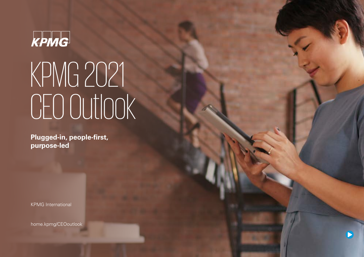# KPMG

# KPMG 2021 CEO Outlook

**Plugged-in, people-first, purpose-led**

KPMG International

[home.kpmg/CEOoutlook](http://home.kpmg/CEOoutlook)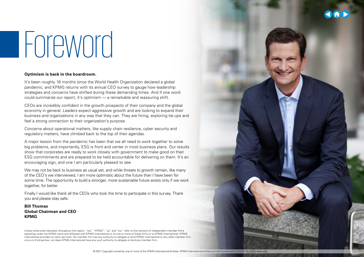# Foreword

#### **Optimism is back in the boardroom.**

It's been roughly 18 months since the World Health Organization declared a global pandemic, and KPMG returns with its annual CEO survey to gauge how leadership strategies and concerns have shifted during these demanding times. And if one word could summarize our report, it's optimism — a remarkable and reassuring shift.

CEOs are incredibly confident in the growth prospects of their company and the global economy in general. Leaders expect aggressive growth and are looking to expand their business and organizations in any way that they can. They are hiring, exploring tie-ups and feel a strong connection to their organization's purpose.

Concerns about operational matters, like supply chain resilience, cyber security and regulatory matters, have climbed back to the top of their agendas.

A major lesson from the pandemic has been that we all need to work together to solve big problems, and importantly, ESG is front and center in most business plans. Our results show that corporates are ready to work closely with government to make good on their ESG commitments and are prepared to be held accountable for delivering on them. It's an encouraging sign, and one I am particularly pleased to see.

We may not be back to business as usual yet, and while threats to growth remain, like many of the CEO's we interviewed, I am more optimistic about the future than I have been for some time. The opportunity to build a stronger, more sustainable future exists only if we work together, for better.

Finally I would like thank all the CEOs who took the time to participate in this survey. Thank you and please stay safe.

**Bill Thomas Global Chairman and CEO KPMG**

Unless otherwise indicated, throughout this report, "we", "KPMG", "us" and "our" refer to the network of independent member firms operating under the KPMG name and affiliated with KPMG International or to one or more of these firms or to KPMG International. KPMG International provides no client services. No member firm has any authority to obligate or bind KPMG International or any other member firm vis-à-vis third parties, nor does KPMG International have any such authority to obligate or bind any member firm.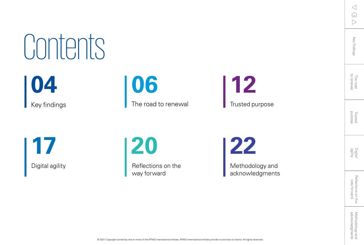$\triangleleft$ 玩  $\triangleright$ 

The road<br>to renewal

Digital<br>agility

Reflections on the<br>way forward

**[04](#page-3-0)** Contents

Key findings

**[17](#page-16-0)**

**[06](#page-5-0)** The road to renewal

**[12](#page-11-0)** Trusted purpose

Methodology and

Digital agility **Reflections on the** way forward

**[20](#page-19-0) [22](#page-21-0)**

acknowledgments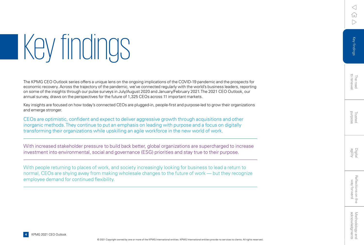# <span id="page-3-0"></span>Key findings

The KPMG CEO Outlook series offers a unique lens on the ongoing implications of the COVID-19 pandemic and the prospects for economic recovery. Across the trajectory of the pandemic, we've connected regularly with the world's business leaders, reporting on some of the insights through our pulse surveys in July/August 2020 and January/February 2021. The 2021 CEO Outlook, our annual survey, draws on the perspectives for the future of 1,325 CEOs across 11 important markets.

Key insights are focused on how today's connected CEOs are plugged-in, people-first and purpose-led to grow their organizations and emerge stronger.

CEOs are optimistic, confident and expect to deliver aggressive growth through acquisitions and other inorganic methods. They continue to put an emphasis on leading with purpose and a focus on digitally transforming their organizations while upskilling an agile workforce in the new world of work.

With increased stakeholder pressure to build back better, global organizations are supercharged to increase investment into environmental, social and governance (ESG) priorities and stay true to their purpose.

With people returning to places of work, and society increasingly looking for business to lead a return to normal, CEOs are shying away from making wholesale changes to the future of work — but they recognize employee demand for continued flexibility.

 $\langle$ íпì

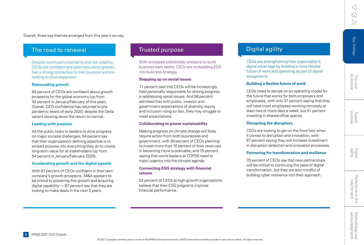Overall, three key themes emerged from this year's survey.

#### The road to renewal

Despite continued uncertainty and risk volatility. CEOs are confident and optimistic about growth. feel a strong connection to their purpose and are looking to drive expansion.

#### **Rebounding growth**

60 percent of CEOs are confident about growth prospects for the global economy (up from 42 percent in January/February of this year). Overall, CEO confidence has returned to prepandemic levels of early 2020, despite the Delta variant slowing down the return to normal.

#### **Leading with purpose**

As the public looks to leaders to drive progress on major societal challenges, 64 percent say that their organization's defining objective is to embed purpose into everything they do to create long-term value for all stakeholders (up from 54 percent in January/February 2020).

#### **Accelerating growth and the digital agenda**

With 87 percent of CEOs confident in their own company's growth prospects, M&A appears to be critical to powering this growth and acquiring digital capability — 87 percent say that they are looking to make deals in the next 3 years.

#### Trusted purpose

With increased stakeholder pressure to build business back better, CEOs are embedding ESG into business strategy.

#### **Stepping up on social issues**

71 percent said that CEOs will be increasingly held personally responsible for driving progress in addressing social issues. And 56 percent admitted that with public, investor and government expectations of diversity, equity and inclusion rising so fast, they may struggle to meet expectations.

#### **Collaborating to power sustainability**

Making progress on climate change will likely require action from both businesses and government, with 30 percent of CEOs planning to invest more than 10 percent of their revenues in becoming more sustainable, and 75 percent saying that world leaders at COP26 need to inject urgency into the climate agenda.

#### **Connecting ESG strategy with financial returns**

52 percent of CEOs at high-growth organizations believe that their ESG programs improve financial performance.

### Digital agility

CEOs are strengthening their organization's digital advantage by building a more flexible future of work and operating as part of digital ecosystems.

#### **Building a flexible future of work**

CEOs need to decide on an operating model for the future that works for both employers and employees, with only 37 percent saying that they will have most employees working remotely at least two or more days a week, but 51 percent investing in shared office spaces.

#### **Disrupting the disruptors**

CEOs are looking to get on the front foot when it comes to disruption and innovation, with 67 percent saying they will increase investment in disruption detection and innovation processes.

#### **Partnering for transformation and resilience**

70 percent of CEOs say that new partnerships will be critical to continuing the pace of digital transformation, but they are also mindful of building cyber resilience into their approach.

 $\langle$ 

[Key findings](#page-3-0)

The road<br>to renewal

Trusted<br>purpose

Digital<br>agility

Key findings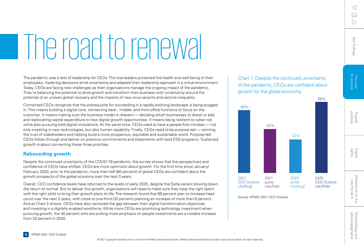# <span id="page-5-0"></span>The road to renewal

The pandemic was a test of leadership for CEOs: The true leaders protected the health and well-being of their employees, made big decisions amid uncertainty and adapted their leadership approach in a virtual environment. Today, CEOs are facing new challenges as their organizations manage the ongoing impact of the pandemic. They're balancing the potential to drive growth and transform their business with uncertainty around the potential of an uneven global recovery and the impacts of new virus variants and vaccine inequality.

Connected CEOs recognize that the prerequisite for succeeding in a rapidly evolving landscape is being plugged in. This means building a digital core, connecting back-, middle- and front-office functions to focus on the customer. It means making sure the business model is relevant — deciding which businesses to divest or add, and reallocating capital expenditure to new digital growth opportunities. It means being resilient to cyber risk while also pursuing bold digital innovations. At the same time, CEOs need to have a people-first mindset — not only investing in new technologies, but also human capability. Finally, CEOs need to be purpose-led — winning the trust of stakeholders and helping build a more prosperous, equitable and sustainable world. Purpose-led CEOs follow through and deliver on previous commitments and statements with bold ESG programs. Sustained growth is about connecting these three priorities.

#### **Rebounding growth**

Despite the continued uncertainty of the COVID-19 pandemic, the survey shows that the perspectives and confidence of CEOs have shifted. CEOs are more optimistic about growth: For the first time since January/ February 2020, prior to the pandemic, more than half (60 percent) of global CEOs are confident about the growth prospects of the global economy over the next 3 years.

Overall, CEO confidence levels have returned to the levels of early 2020, despite the Delta variant slowing down the return to normal. But to deliver this growth, organizations will need to make sure they have the right talent with the right skills to bring their growth plans to life. The research found that 88 percent plan to increase head count over the next 3 years, with close to one-third (32 percent) planning an increase of more than 6 percent. And as Chart 2 shows, CEOs have also narrowed the gap between their digital transformation objectives and investing in a digitally enabled workforce. While more CEOs are prioritizing technology investment when pursuing growth, the 40 percent who are putting more emphasis on people investments are a notable increase from 33 percent in 2020.

Chart 1: Despite the continued uncertainty of the pandemic, CEOs are confident about growth for the global economy





[Key findings](#page-3-0)

The road<br>to renewa

Key findings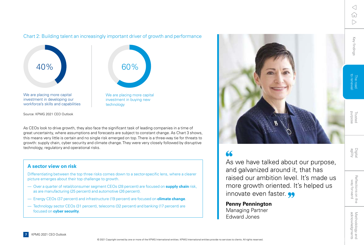[Key findings](#page-3-0)

Key findings

#### Chart 2: Building talent an increasingly important driver of growth and performance



Source: KPMG 2021 CEO Outlook

As CEOs look to drive growth, they also face the significant task of leading companies in a time of great uncertainty, where assumptions and forecasts are subject to constant change. As Chart 3 shows, this means very little is certain and no single risk emerged on top. There is a three-way tie for threats to growth: supply chain, cyber security and climate change. They were very closely followed by disruptive technology, regulatory and operational risks.

#### **A sector view on risk**

Differentiating between the top three risks comes down to a sector-specific lens, where a clearer picture emerges about their top challenge to growth.

- Over a quarter of retail/consumer segment CEOs (28 percent) are focused on **supply chain** risk, as are manufacturing (25 percent) and automotive (26 percent).
- Energy CEOs (37 percent) and infrastructure (19 percent) are focused on **climate change**.
- Technology sector CEOs (31 percent), telecoms (32 percent) and banking (17 percent) are focused on **cyber security**.



## $66$

As we have talked about our purpose, and galvanized around it, that has raised our ambition level. It's made us more growth oriented. It's helped us innovate even faster.

**Penny Pennington**  Managing Partner Edward Jones

Digita<br>agility

Trusted<br>Purpose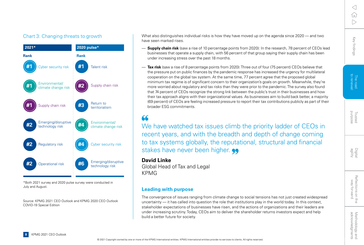#### Chart 3: Changing threats to growth



\*Both 2021 survey and 2020 pulse survey were conducted in July and August.

Source: KPMG 2021 CEO Outlook and KPMG 2020 CEO Outlook COVID-19 Special Edition

What also distinguishes individual risks is how they have moved up on the agenda since 2020 — and two have seen marked rises.

- **Supply chain risk** (saw a rise of 10 percentage points from 2020): In the research, 78 percent of CEOs lead businesses that operate a supply chain, with 56 percent of that group saying their supply chain has been under increasing stress over the past 18 months.
- **Tax risk** (saw a rise of 8 percentage points from 2020): Three out of four (75 percent) CEOs believe that the pressure put on public finances by the pandemic response has increased the urgency for multilateral cooperation on the global tax system. At the same time, 77 percent agree that the proposed global minimum tax regime is of significant concern to their organization's goals on growth. Meanwhile, they're more worried about regulatory and tax risks than they were prior to the pandemic. The survey also found that 74 percent of CEOs recognize the strong link between the public's trust in their businesses and how their tax approach aligns with their organizational values. As businesses aim to build back better, a majority (69 percent) of CEOs are feeling increased pressure to report their tax contributions publicly as part of their broader ESG commitments.

### 66

We have watched tax issues climb the priority ladder of CEOs in recent years, and with the breadth and depth of change coming to tax systems globally, the reputational, structural and financial stakes have never been higher.  $\bullet\bullet$ 

#### **David Linke**

Global Head of Tax and Legal KPMG

#### **Leading with purpose**

The convergence of issues ranging from climate change to social tensions has not just created widespread uncertainty — it has called into question the role that institutions play in the world today. In this context, stakeholder expectations of businesses have risen, and the actions of organizations and their leaders are under increasing scrutiny. Today, CEOs aim to deliver the shareholder returns investors expect and help build a better future for society.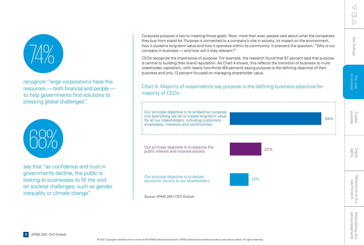

recognize "large corporations have the resources — both financial and people to help governments find solutions to pressing global challenges".



say that "as confidence and trust in governments decline, the public is looking to businesses to fill the void on societal challenges, such as gender inequality or climate change".

Corporate purpose is key to meeting those goals. Now, more than ever, people care about what the companies they buy from stand for. Purpose is connected to a company's role in society, its impact on the environment, how it sustains long-term value and how it operates within its community. It answers the question: "Why is our company in business — and how will it stay relevant?"

CEOs recognize the importance of purpose. For example, the research found that 87 percent said that purpose is central to building their brand reputation. As Chart 4 shows, this reflects the transition of business to multistakeholder capitalism, with nearly two-thirds (64 percent) saying purpose is the defining objective of their business and only 13 percent focused on managing shareholder value.

#### Chart 4: Majority of respondents say purpose is the defining business objective for majority of CEOs

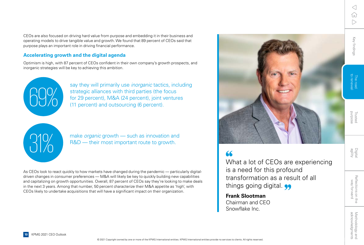Reflections on the<br>way forward

[Key findings](#page-3-0)

Key findings

CEOs are also focused on driving hard value from purpose and embedding it in their business and operating models to drive tangible value and growth. We found that 89 percent of CEOs said that purpose plays an important role in driving financial performance.

#### **Accelerating growth and the digital agenda**

Optimism is high, with 87 percent of CEOs confident in their own company's growth prospects, and inorganic strategies will be key to achieving this ambition.



say they will primarily use *inorganic* tactics, including<br>strategic alliances with third parties (the focus<br>for 29 percent), M&A (24 percent), joint ventures<br>(11 percent) and outsourcing (6 percent). strategic alliances with third parties (the focus for 29 percent), M&A (24 percent), joint ventures (11 percent) and outsourcing (6 percent).



make *organic* growth — such as innovation and<br>R&D — their most important route to growth. R&D — their most important route to growth.

As CEOs look to react quickly to how markets have changed during the pandemic — particularly digitaldriven changes in consumer preferences — M&A will likely be key to quickly building new capabilities and capitalizing on growth opportunities. Overall, 87 percent of CEOs say they're looking to make deals in the next 3 years. Among that number, 50 percent characterize their M&A appetite as 'high', with CEOs likely to undertake acquisitions that will have a significant impact on their organization.



 $66$ 

What a lot of CEOs are experiencing is a need for this profound transformation as a result of all things going digital.

**Frank Slootman** Chairman and CEO Snowflake Inc.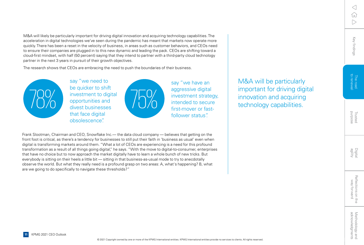M&A will likely be particularly important for driving digital innovation and acquiring technology capabilities. The acceleration in digital technologies we've seen during the pandemic has meant that markets now operate more quickly. There has been a reset in the velocity of business, in areas such as customer behaviors, and CEOs need to ensure their companies are plugged in to this new dynamic and leading the pack. CEOs are shifting toward a cloud-first mindset, with half (50 percent) saying that they intend to partner with a third-party cloud technology partner in the next 3 years in pursuit of their growth objectives.

The research shows that CEOs are embracing the need to push the boundaries of their business.

78% say "we need to be quicker to shift investment to digital opportunities and divest businesses that face digital obsolescence".



say "we have an aggressive digital investment strategy, intended to secure first-mover or fastfollower status".

Frank Slootman, Chairman and CEO, Snowflake Inc.— the data cloud company — believes that getting on the front foot is critical, as there's a tendency for businesses to still put their faith in 'business as usual' even when digital is transforming markets around them. "What a lot of CEOs are experiencing is a need for this profound transformation as a result of all things going digital," he says. "With the move to digital-to-consumer, enterprises that have no choice but to now approach the market digitally have to learn a whole bunch of new tricks. But everybody is sitting on their heels a little bit — sitting in that business-as-usual mode to try to anecdotally observe the world. But what they really need is a profound grasp on two areas: A, what's happening? B, what are we going to do specifically to navigate these thresholds?"

M&A will be particularly important for driving digital innovation and acquiring technology capabilities.

Trusted<br>purpose

[Key findings](#page-3-0)

Key findings

The road<br>to renewa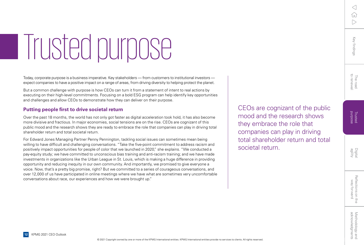# <span id="page-11-0"></span>Trusted purpose

Today, corporate purpose is a business imperative. Key stakeholders — from customers to institutional investors expect companies to have a positive impact on a range of areas, from driving diversity to helping protect the planet.

But a common challenge with purpose is how CEOs can turn it from a statement of intent to real actions by executing on their high-level commitments. Focusing on a bold ESG program can help identify key opportunities and challenges and allow CEOs to demonstrate how they can deliver on their purpose.

#### **Putting people first to drive societal return**

Over the past 18 months, the world has not only got faster as digital acceleration took hold, it has also become more divisive and fractious. In major economies, social tensions are on the rise. CEOs are cognizant of this public mood and the research shows they are ready to embrace the role that companies can play in driving total shareholder return and total societal return.

For Edward Jones Managing Partner Penny Pennington, tackling social issues can sometimes mean being willing to have difficult and challenging conversations. "Take the five-point commitment to address racism and positively impact opportunities for people of color that we launched in 2020," she explains. "We conducted a pay-equity study; we have committed to unconscious bias training and anti-racism training; and we have made investments in organizations like the Urban League in St. Louis, which is making a huge difference in providing opportunity and reducing inequity in our own community. And importantly, we promised to give everyone a voice. Now, that's a pretty big promise, right? But we committed to a series of courageous conversations, and over 12,000 of us have participated in online meetings where we have what are sometimes very uncomfortable conversations about race, our experiences and how we were brought up."

CEOs are cognizant of the public mood and the research shows they embrace the role that companies can play in driving total shareholder return and total societal return.

**12** KPMG 2021 CEO Outlook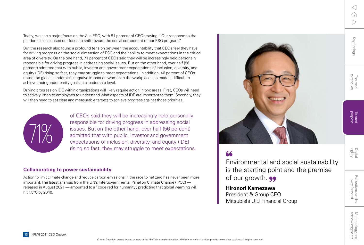Today, we see a major focus on the S in ESG, with 81 percent of CEOs saying, "Our response to the pandemic has caused our focus to shift toward the social component of our ESG program."

But the research also found a profound tension between the accountability that CEOs feel they have for driving progress on the social dimension of ESG and their ability to meet expectations in the critical area of diversity. On the one hand, 71 percent of CEOs said they will be increasingly held personally responsible for driving progress in addressing social issues. But on the other hand, over half (56 percent) admitted that with public, investor and government expectations of inclusion, diversity, and equity (IDE) rising so fast, they may struggle to meet expectations. In addition, 46 percent of CEOs noted the global pandemic's negative impact on women in the workplace has made it difficult to achieve their gender parity goals at a leadership level.

Driving progress on IDE within organizations will likely require action in two areas. First, CEOs will need to actively listen to employees to understand what aspects of IDE are important to them. Secondly, they will then need to set clear and measurable targets to achieve progress against those priorities.



of CEOs said they will be increasingly held personally responsible for driving progress in addressing social issues. But on the other hand, over half (56 percent) admitted that with public, investor and government expectations of inclusion, diversity, and equity (IDE) rising so fast, they may struggle to meet expectations.

#### **Collaborating to power sustainability**

Action to limit climate change and reduce carbon emissions in the race to net zero has never been more important. The latest analysis from the UN's Intergovernmental Panel on Climate Change (IPCC) released in August 2021 — amounted to a "code red for humanity", predicting that global warming will hit 1.5°C by 2040.



 $66$ 

Environmental and social sustainability is the starting point and the premise of our growth.  $\bullet\bullet$ 

**Hironori Kamezawa** President & Group CEO Mitsubishi UFJ Financial Group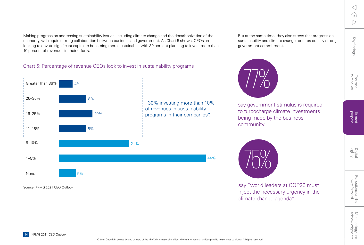Digital<br>agility

Making progress on addressing sustainability issues, including climate change and the decarbonization of the economy, will require strong collaboration between business and government. As Chart 5 shows, CEOs are looking to devote significant capital to becoming more sustainable, with 30 percent planning to invest more than 10 percent of revenues in their efforts.

#### Chart 5: Percentage of revenue CEOs look to invest in sustainability programs



Source: KPMG 2021 CEO Outlook

But at the same time, they also stress that progress on sustainability and climate change requires equally strong government commitment.



say government stimulus is required to turbocharge climate investments being made by the business community.



say "world leaders at COP26 must inject the necessary urgency in the climate change agenda".

**14** KPMG 2021 CEO Outlook

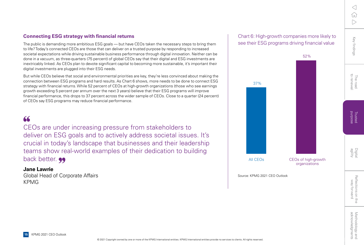#### **Connecting ESG strategy with financial returns**

The public is demanding more ambitious ESG goals — but have CEOs taken the necessary steps to bring them to life? Today's connected CEOs are those that can deliver on a trusted purpose by responding to increased societal expectations while driving sustainable business performance through digital innovation. Neither can be done in a vacuum, as three-quarters (75 percent) of global CEOs say that their digital and ESG investments are inextricably linked. As CEOs plan to devote significant capital to becoming more sustainable, it's important their digital investments are plugged into their ESG needs.

But while CEOs believe that social and environmental priorities are key, they're less convinced about making the connection between ESG programs and hard results. As Chart 6 shows, more needs to be done to connect ESG strategy with financial returns. While 52 percent of CEOs at high-growth organizations (those who see earnings growth exceeding 5 percent per annum over the next 3 years) believe that their ESG programs will improve financial performance, this drops to 37 percent across the wider sample of CEOs. Close to a quarter (24 percent) of CEOs say ESG programs may reduce financial performance.

### 66

CEOs are under increasing pressure from stakeholders to deliver on ESG goals and to actively address societal issues. It's crucial in today's landscape that businesses and their leadership teams show real-world examples of their dedication to building back better. **99** 

#### **Jane Lawrie**

Global Head of Corporate Affairs KPMG

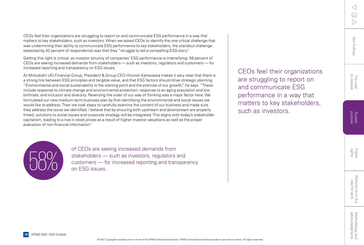The road<br>to renewal

Digita<br>agility

CEOs feel their organizations are struggling to report on and communicate ESG performance in a way that matters to key stakeholders, such as investors.

evaluation of non-financial information."

of CEOs are seeing increased demands from<br>stakeholders — such as investors, regulators<br>customers — for increased reporting and tran<br>on ESG issues. stakeholders — such as investors, regulators and customers — for increased reporting and transparency on ESG issues.

CEOs feel their organizations are struggling to report on and communicate ESG performance in a way that matters to key stakeholders, such as investors. When we asked CEOs to identify the one critical challenge that was undermining their ability to communicate ESG performance to key stakeholders, the standout challenge

Getting this right is critical, as investor scrutiny of companies' ESG performance is intensifying: 58 percent of CEOs are seeing increased demands from stakeholders — such as investors, regulators and customers — for

At Mitsubishi UFJ Financial Group, President & Group CEO Hironori Kamezawa makes it very clear that there is a strong link between ESG principles and tangible value, and that ESG factors should drive strategic planning. "Environmental and social sustainability is the starting point and the premise of our growth," he says. "These include response to climate change and environmental protection; response to an aging population and low birthrate; and inclusion and diversity. Reversing the order of our way of thinking was a major factor here. We formulated our new medium-term business plan by first identifying the environmental and social issues we would like to address. Then we took steps to carefully examine the content of our business and made sure they address the issue we identified. I believe that by ensuring both upstream and downstream are properly linked, solutions to social issues and corporate strategy will be integrated. This aligns with today's stakeholder capitalism, leading to a rise in stock prices as a result of higher investor valuations as well as the proper

(selected by 42 percent of respondents) was that they "struggle to tell a compelling ESG story".

increased reporting and transparency on ESG issues.

Reflections on the<br>way forward

**16** KPMG 2021 CEO Outlook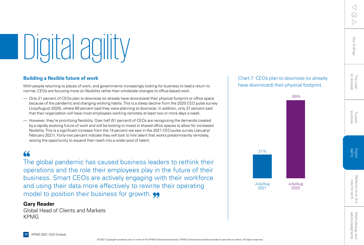# <span id="page-16-0"></span>Digital agility

#### **Building a flexible future of work**

With people returning to places of work, and governments increasingly looking for business to lead a return to normal, CEOs are focusing more on flexibility rather than wholesale changes to office-based work.

- Only 21 percent of CEOs plan to downsize (or already have downsized) their physical footprint or office space because of the pandemic and changing working habits. This is a steep decline from the 2020 CEO pulse survey (July/August 2020), where 69 percent said they were planning to downsize. In addition, only 37 percent said that their organization will have most employees working remotely at least two or more days a week.
- However, they're prioritizing flexibility. Over half (51 percent) of CEOs are recognizing the demands created by a rapidly evolving future of work and will be looking to invest in shared office spaces to allow for increased flexibility. This is a significant increase from the 14 percent we saw in the 2021 CEO pulse survey (January/ February 2021). Forty-two percent indicate they will look to hire talent that works predominantly remotely, seizing the opportunity to expand their reach into a wider pool of talent.

### $66$

The global pandemic has caused business leaders to rethink their operations and the role their employees play in the future of their business. Smart CEOs are actively engaging with their workforce and using their data more effectively to rewrite their operating model to position their business for growth.  $\bullet\bullet$ 

#### **Gary Reader**

Global Head of Clients and Markets **KPMG** 



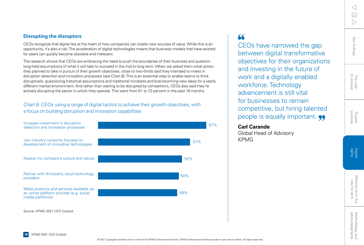#### **Disrupting the disruptors**

CEOs recognize that digital lies at the heart of how companies can create new sources of value. While this is an opportunity, it's also a risk: The acceleration of digital technologies means that business models that have existed for years can quickly become obsolete and irrelevant.

The research shows that CEOs are embracing the need to push the boundaries of their business and question long-held assumptions of what it will take to succeed in the mid to long term. When we asked them what action they planned to take in pursuit of their growth objectives, close to two-thirds said they intended to invest in disruption detection and innovation processes (see Chart 8). This is an essential step to enable teams to think disruptively: questioning historical assumptions and traditional mindsets and brainstorming new ideas for a vastly different market environment. And rather than waiting to be disrupted by competitors, CEOs also said they're actively disrupting the sector in which they operate. This went from 61 to 72 percent in the past 18 months.

#### Chart 8: CEOs using a range of digital tactics to achieve their growth objectives, with a focus on building disruption and innovation capabilities



### $66$

CEOs have narrowed the gap between digital transformative objectives for their organizations and investing in the future of work and a digitally enabled workforce. Technology advancement is still vital for businesses to remain competitive, but hiring talented people is equally important.

#### **Carl Carande**

Global Head of Advisory KPMG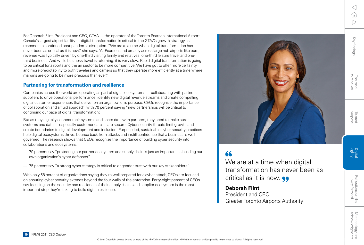ſп  $\triangleright$ 

 $\langle$ 

Key findings [Key findings](#page-3-0)

The road<br>to renewal

For Deborah Flint, President and CEO, GTAA — the operator of the Toronto Pearson International Airport, Canada's largest airport facility — digital transformation is critical to the GTAA's growth strategy as it responds to continued post-pandemic disruption. "We are at a time when digital transformation has never been as critical as it is now," she says. "At Pearson, and broadly across large hub airports like ours, revenue was typically driven by one-third visiting family and relatives, one-third leisure travel and onethird business. And while business travel is returning, it is very slow. Rapid digital transformation is going to be critical for airports and the air sector to be more competitive. We have got to offer more certainty and more predictability to both travelers and carriers so that they operate more efficiently at a time where margins are going to be more precious than ever."

#### **Partnering for transformation and resilience**

Companies across the world are operating as part of digital ecosystems — collaborating with partners, suppliers to drive operational performance, identify new digital revenue streams and create compelling digital customer experiences that deliver on an organization's purpose. CEOs recognize the importance of collaboration and a fluid approach, with 70 percent saying "new partnerships will be critical to continuing our pace of digital transformation".

But as they digitally connect their systems and share data with partners, they need to make sure systems and data — especially customer data — are secure. Cyber security threats limit growth and create boundaries to digital development and inclusion. Purpose-led, sustainable cyber security practices help digital ecosystems thrive, bounce back from attacks and instill confidence that a business is well governed. The research shows that CEOs recognize the importance of building cyber security into collaborations and ecosystems.

- 79 percent say "protecting our partner ecosystem and supply chain is just as important as building our own organization's cyber defenses".
- 75 percent say "a strong cyber strategy is critical to engender trust with our key stakeholders".

With only 58 percent of organizations saying they're well prepared for a cyber attack, CEOs are focused on ensuring cyber security extends beyond the four walls of the enterprise. Forty-eight percent of CEOs say focusing on the security and resilience of their supply chains and supplier ecosystem is the most important step they're taking to build digital resilience.

### $66$

We are at a time when digital transformation has never been as critical as it is now.  $\bullet\bullet$ 

**Deborah Flint** President and CEO Greater Toronto Airports Authority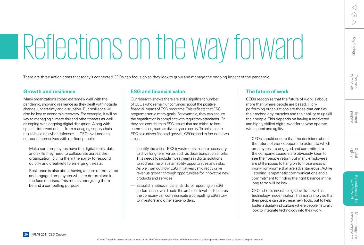# <span id="page-19-0"></span>Reflections on the way forward

There are three action areas that today's connected CEOs can focus on as they look to grow and manage the ongoing impact of the pandemic.

#### **Growth and resilience**

**20** KPMG 2021 CEO Outlook

Many organizations coped extremely well with the pandemic, showing resilience as they dealt with notable change, uncertainty and disruption. But resilience will also be key to economic recovery. For example, it will be key to managing climate risk and other threats as well as coping with ongoing digital disruption. Along with specific interventions — from managing supply chain risk to building cyber defenses — CEOs will need to surround themselves with resilient people.

- Make sure employees have the digital tools, data and skills they need to collaborate across the organization, giving them the ability to respond quickly and creatively to emerging threats.
- Resilience is also about having a team of motivated and engaged employees who are determined in the face of crises. This means energizing them behind a compelling purpose.

#### **ESG and financial value**

Our research shows there are still a significant number of CEOs who remain unconvinced about the positive financial impact of ESG programs. This reflects that ESG programs serve many goals. For example, they can ensure the organization is compliant with regulatory standards. Or they can contribute to ESG issues that are critical to local communities, such as diversity and equity. To help ensure ESG also drives financial growth, CEOs need to focus on two areas.

- Identify the critical ESG investments that are necessary to drive long-term value, such as decarbonization efforts. This needs to include investments in digital solutions to address major sustainability opportunities and risks. As well, set out how ESG initiatives can directly drive revenue growth through opportunities for innovative new products and services.
- Establish metrics and standards for reporting on ESG performance, which sets the ambition level and ensures the company can communicate a compelling ESG story to investors and other stakeholders.

© 2021 Copyright owned by one or more of the KPMG International entities. KPMG International entities provide no services to clients. All rights reserved.

#### **The future of work**

CEOs recognize that the future of work is about more than where people are based. Highperforming organizations are those that can flex their technology muscles and their ability to upskill their people. This depends on having a motivated and highly skilled digital workforce who operate with speed and agility.

- CEOs should ensure that the decisions about the future of work deepen the extent to which employees are engaged and committed to the company. Leaders are obviously keen to see their people return but many employees are still anxious to hang on to those areas of work-from-home that are advantageous. Active listening, empathetic communications and a commitment to finding the right balance in the long term will be key.
- CEOs should invest in digital skills as well as technology modernization. This isn't simply so that their people can use these new tools, but to help foster a digital-first culture where people naturally look to integrate technology into their work.

Digita<br>agility

Reflections on the<br>way forward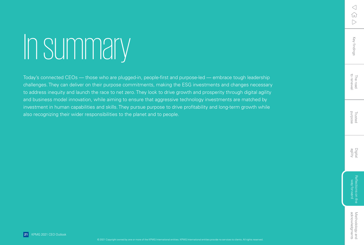# In summary

Today's connected CEOs — those who are plugged-in, people-first and purpose-led — embrace tough leadership challenges. They can deliver on their purpose commitments, making the ESG investments and changes necessary to address inequity and launch the race to net zero. They look to drive growth and prosperity through digital agility and business model innovation, while aiming to ensure that aggressive technology investments are matched by investment in human capabilities and skills. They pursue purpose to drive profitability and long-term growth while also recognizing their wider responsibilities to the planet and to people.

**21** KPMG 2021 CEO Outlook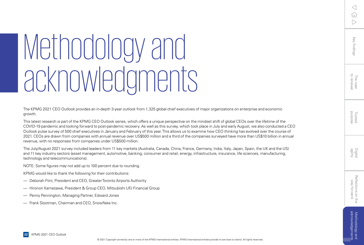# <span id="page-21-0"></span>Methodology and acknowledgments

The KPMG 2021 CEO Outlook provides an in-depth 3-year outlook from 1,325 global chief executives of major organizations on enterprise and economic growth.

This latest research is part of the KPMG CEO Outlook series, which offers a unique perspective on the mindset shift of global CEOs over the lifetime of the COVID-19 pandemic and looking forward to post-pandemic recovery. As well as this survey, which took place in July and early August, we also conducted a CEO Outlook pulse survey of 500 chief executives in January and February of this year. This allows us to examine how CEO thinking has evolved over the course of 2021. CEOs are drawn from companies with annual revenue over US\$500 million and a third of the companies surveyed have more than US\$10 billion in annual revenue, with no responses from companies under US\$500 million.

The July/August 2021 survey included leaders from 11 key markets (Australia, Canada, China, France, Germany, India, Italy, Japan, Spain, the UK and the US) and 11 key industry sectors (asset management, automotive, banking, consumer and retail, energy, infrastructure, insurance, life sciences, manufacturing, technology and telecommunications).

NOTE: Some figures may not add up to 100 percent due to rounding.

KPMG would like to thank the following for their contributions:

- Deborah Flint, President and CEO, Greater Toronto Airports Authority
- Hironori Kamezawa, President & Group CEO, Mitsubishi UFJ Financial Group
- Penny Pennington, Managing Partner, Edward Jones
- Frank Slootman, Chairman and CEO, Snowflake Inc.